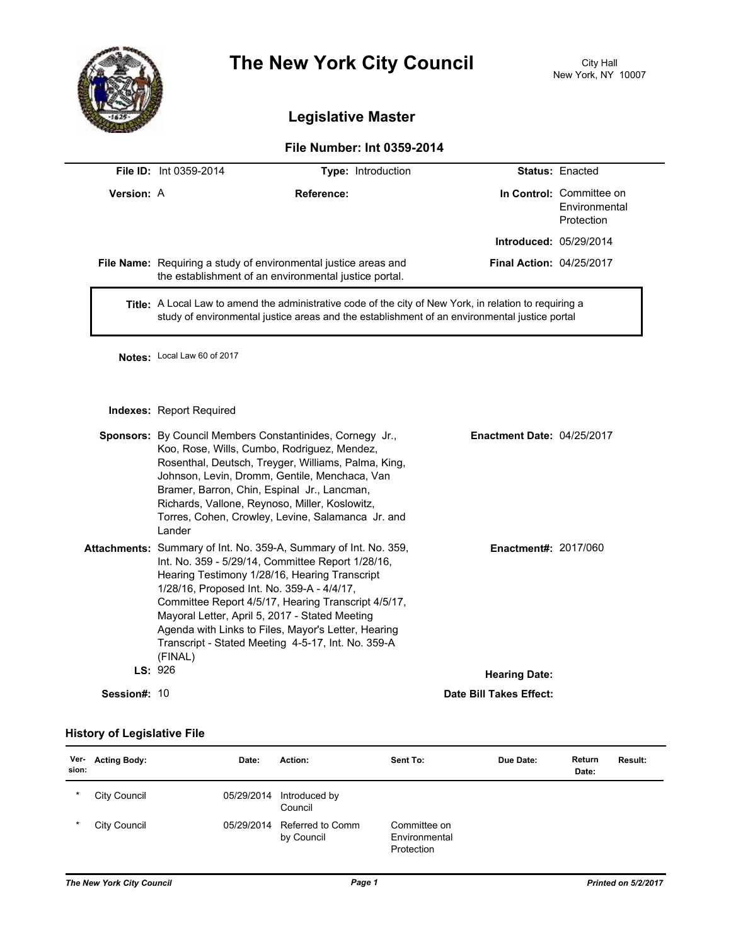

# **The New York City Council** City Hall

## **Legislative Master**

### **File Number: Int 0359-2014**

|                   | <b>File ID:</b> Int 0359-2014 | <b>Type:</b> Introduction                                                                                                |                                 | <b>Status: Enacted</b>                                  |
|-------------------|-------------------------------|--------------------------------------------------------------------------------------------------------------------------|---------------------------------|---------------------------------------------------------|
| <b>Version: A</b> |                               | Reference:                                                                                                               |                                 | In Control: Committee on<br>Environmental<br>Protection |
|                   |                               |                                                                                                                          | <b>Introduced: 05/29/2014</b>   |                                                         |
|                   |                               | File Name: Requiring a study of environmental justice areas and<br>the establishment of an environmental justice portal. | <b>Final Action: 04/25/2017</b> |                                                         |
|                   |                               | <b>Title:</b> A Local Law to amend the administrative code of the city of New York, in relation to requiring a           |                                 |                                                         |

study of environmental justice areas and the establishment of an environmental justice portal

**Notes:** Local Law 60 of 2017

**Indexes:** Report Required

|              | <b>Sponsors:</b> By Council Members Constantinides, Cornegy Jr.,<br>Koo, Rose, Wills, Cumbo, Rodriguez, Mendez,<br>Rosenthal, Deutsch, Treyger, Williams, Palma, King,<br>Johnson, Levin, Dromm, Gentile, Menchaca, Van<br>Bramer, Barron, Chin, Espinal Jr., Lancman,<br>Richards, Vallone, Reynoso, Miller, Koslowitz,<br>Torres, Cohen, Crowley, Levine, Salamanca Jr. and<br>Lander                                                               | <b>Enactment Date: 04/25/2017</b> |  |
|--------------|-------------------------------------------------------------------------------------------------------------------------------------------------------------------------------------------------------------------------------------------------------------------------------------------------------------------------------------------------------------------------------------------------------------------------------------------------------|-----------------------------------|--|
|              | Attachments: Summary of Int. No. 359-A, Summary of Int. No. 359,<br>Int. No. 359 - 5/29/14, Committee Report 1/28/16,<br>Hearing Testimony 1/28/16, Hearing Transcript<br>1/28/16, Proposed Int. No. 359-A - 4/4/17,<br>Committee Report 4/5/17, Hearing Transcript 4/5/17,<br>Mayoral Letter, April 5, 2017 - Stated Meeting<br>Agenda with Links to Files, Mayor's Letter, Hearing<br>Transcript - Stated Meeting 4-5-17, Int. No. 359-A<br>(FINAL) | <b>Enactment#: 2017/060</b>       |  |
| LS: 926      |                                                                                                                                                                                                                                                                                                                                                                                                                                                       | <b>Hearing Date:</b>              |  |
| Session#: 10 |                                                                                                                                                                                                                                                                                                                                                                                                                                                       | Date Bill Takes Effect:           |  |

#### **History of Legislative File**

| Ver-<br>sion: | <b>Acting Body:</b> | Date:      | Action:                        | Sent To:                                    | Due Date: | Return<br>Date: | <b>Result:</b> |
|---------------|---------------------|------------|--------------------------------|---------------------------------------------|-----------|-----------------|----------------|
| $\ast$        | City Council        | 05/29/2014 | Introduced by<br>Council       |                                             |           |                 |                |
| $\star$       | City Council        | 05/29/2014 | Referred to Comm<br>by Council | Committee on<br>Environmental<br>Protection |           |                 |                |